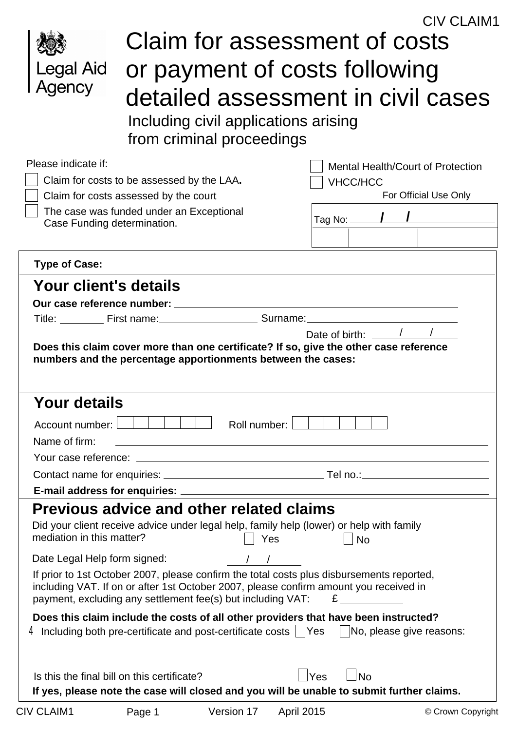|                              |                                                                                                                                                                                                                                                   | <b>CIV CLAIM1</b>                                                                                                           |  |  |  |  |  |  |
|------------------------------|---------------------------------------------------------------------------------------------------------------------------------------------------------------------------------------------------------------------------------------------------|-----------------------------------------------------------------------------------------------------------------------------|--|--|--|--|--|--|
|                              |                                                                                                                                                                                                                                                   | Claim for assessment of costs                                                                                               |  |  |  |  |  |  |
|                              |                                                                                                                                                                                                                                                   |                                                                                                                             |  |  |  |  |  |  |
| Legal Aid                    | or payment of costs following                                                                                                                                                                                                                     |                                                                                                                             |  |  |  |  |  |  |
| Agency                       |                                                                                                                                                                                                                                                   | detailed assessment in civil cases                                                                                          |  |  |  |  |  |  |
|                              |                                                                                                                                                                                                                                                   |                                                                                                                             |  |  |  |  |  |  |
|                              | Including civil applications arising                                                                                                                                                                                                              |                                                                                                                             |  |  |  |  |  |  |
|                              | from criminal proceedings                                                                                                                                                                                                                         |                                                                                                                             |  |  |  |  |  |  |
| Please indicate if:          |                                                                                                                                                                                                                                                   | Mental Health/Court of Protection                                                                                           |  |  |  |  |  |  |
|                              | Claim for costs to be assessed by the LAA.                                                                                                                                                                                                        | <b>VHCC/HCC</b>                                                                                                             |  |  |  |  |  |  |
|                              | Claim for costs assessed by the court                                                                                                                                                                                                             | For Official Use Only                                                                                                       |  |  |  |  |  |  |
| Case Funding determination.  | The case was funded under an Exceptional                                                                                                                                                                                                          | Tag No:                                                                                                                     |  |  |  |  |  |  |
|                              |                                                                                                                                                                                                                                                   |                                                                                                                             |  |  |  |  |  |  |
|                              |                                                                                                                                                                                                                                                   |                                                                                                                             |  |  |  |  |  |  |
| <b>Type of Case:</b>         |                                                                                                                                                                                                                                                   |                                                                                                                             |  |  |  |  |  |  |
| Your client's details        |                                                                                                                                                                                                                                                   |                                                                                                                             |  |  |  |  |  |  |
|                              | Our case reference number: ________                                                                                                                                                                                                               |                                                                                                                             |  |  |  |  |  |  |
|                              |                                                                                                                                                                                                                                                   | Date of birth:                                                                                                              |  |  |  |  |  |  |
|                              | numbers and the percentage apportionments between the cases:                                                                                                                                                                                      | Does this claim cover more than one certificate? If so, give the other case reference                                       |  |  |  |  |  |  |
| <b>Your details</b>          |                                                                                                                                                                                                                                                   |                                                                                                                             |  |  |  |  |  |  |
| Account number:              | Roll number:                                                                                                                                                                                                                                      |                                                                                                                             |  |  |  |  |  |  |
| Name of firm:                |                                                                                                                                                                                                                                                   |                                                                                                                             |  |  |  |  |  |  |
|                              |                                                                                                                                                                                                                                                   |                                                                                                                             |  |  |  |  |  |  |
|                              |                                                                                                                                                                                                                                                   |                                                                                                                             |  |  |  |  |  |  |
|                              |                                                                                                                                                                                                                                                   |                                                                                                                             |  |  |  |  |  |  |
|                              | <b>Previous advice and other related claims</b>                                                                                                                                                                                                   |                                                                                                                             |  |  |  |  |  |  |
| mediation in this matter?    | Did your client receive advice under legal help, family help (lower) or help with family<br>Yes                                                                                                                                                   | <b>No</b>                                                                                                                   |  |  |  |  |  |  |
| Date Legal Help form signed: |                                                                                                                                                                                                                                                   |                                                                                                                             |  |  |  |  |  |  |
|                              | If prior to 1st October 2007, please confirm the total costs plus disbursements reported,<br>including VAT. If on or after 1st October 2007, please confirm amount you received in<br>payment, excluding any settlement fee(s) but including VAT: | E                                                                                                                           |  |  |  |  |  |  |
|                              | $4$ Including both pre-certificate and post-certificate costs $\vert \hspace{0.1cm} \vert$ Yes                                                                                                                                                    | Does this claim include the costs of all other providers that have been instructed?<br>$\parallel$ No, please give reasons: |  |  |  |  |  |  |
|                              | Is this the final bill on this certificate?                                                                                                                                                                                                       | $\overline{\phantom{a}}$ No<br>Yes                                                                                          |  |  |  |  |  |  |
|                              |                                                                                                                                                                                                                                                   | If yes, please note the case will closed and you will be unable to submit further claims.                                   |  |  |  |  |  |  |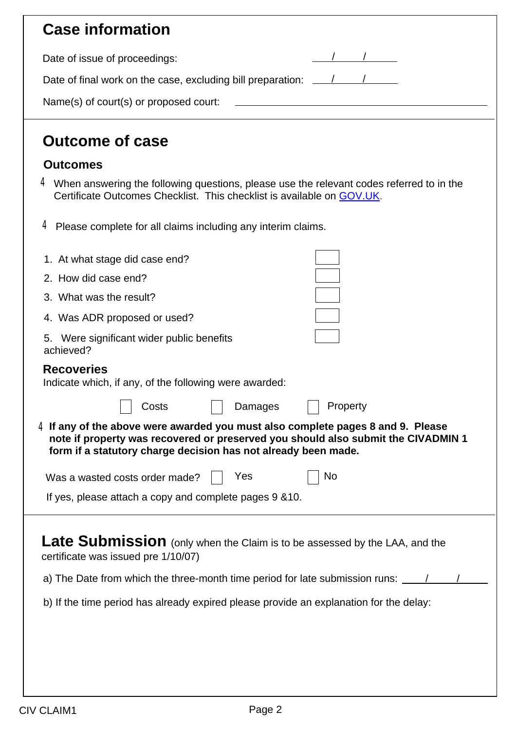| <b>Case information</b>                                                                                                                                                                                                                                                                     |                                                     |
|---------------------------------------------------------------------------------------------------------------------------------------------------------------------------------------------------------------------------------------------------------------------------------------------|-----------------------------------------------------|
| Date of issue of proceedings:                                                                                                                                                                                                                                                               |                                                     |
| Date of final work on the case, excluding bill preparation: ____________________                                                                                                                                                                                                            |                                                     |
| Name(s) of court(s) or proposed court:                                                                                                                                                                                                                                                      | <u> 1989 - Johann Barbara, martxa alemaniar arg</u> |
| <b>Outcome of case</b>                                                                                                                                                                                                                                                                      |                                                     |
| <b>Outcomes</b>                                                                                                                                                                                                                                                                             |                                                     |
| $4$ When answering the following questions, please use the relevant codes referred to in the<br>Certificate Outcomes Checklist. This checklist is available on GOV.UK.                                                                                                                      |                                                     |
| 4 Please complete for all claims including any interim claims.                                                                                                                                                                                                                              |                                                     |
| 1. At what stage did case end?                                                                                                                                                                                                                                                              |                                                     |
| 2. How did case end?                                                                                                                                                                                                                                                                        |                                                     |
| 3. What was the result?                                                                                                                                                                                                                                                                     |                                                     |
| 4. Was ADR proposed or used?                                                                                                                                                                                                                                                                |                                                     |
| Were significant wider public benefits<br>5.<br>achieved?                                                                                                                                                                                                                                   |                                                     |
| <b>Recoveries</b><br>Indicate which, if any, of the following were awarded:                                                                                                                                                                                                                 |                                                     |
| Damages<br>Costs                                                                                                                                                                                                                                                                            | Property                                            |
| $4$ If any of the above were awarded you must also complete pages 8 and 9. Please<br>note if property was recovered or preserved you should also submit the CIVADMIN 1<br>form if a statutory charge decision has not already been made.                                                    |                                                     |
| Yes<br>Was a wasted costs order made?                                                                                                                                                                                                                                                       | No                                                  |
| If yes, please attach a copy and complete pages 9 & 10.                                                                                                                                                                                                                                     |                                                     |
| Late Submission (only when the Claim is to be assessed by the LAA, and the<br>certificate was issued pre 1/10/07)<br>a) The Date from which the three-month time period for late submission runs:<br>b) If the time period has already expired please provide an explanation for the delay: |                                                     |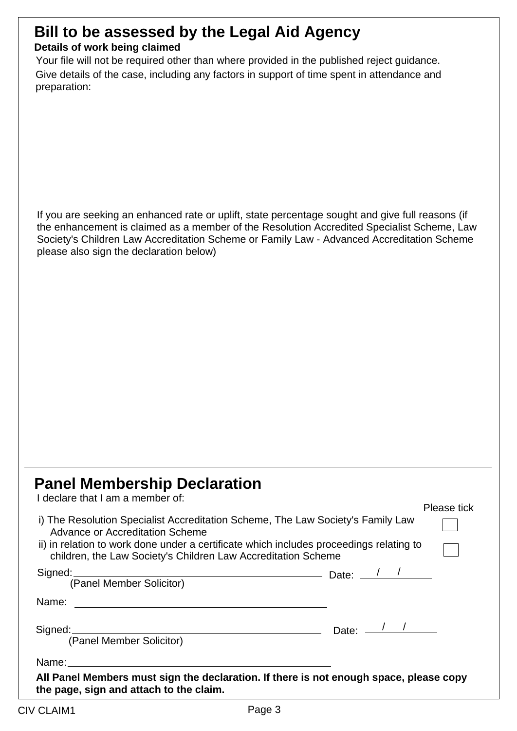## **Bill to be assessed by the Legal Aid Agency**

#### **Details of work being claimed**

Give details of the case, including any factors in support of time spent in attendance and preparation: Your file will not be required other than where provided in the published reject guidance.

If you are seeking an enhanced rate or uplift, state percentage sought and give full reasons (if the enhancement is claimed as a member of the Resolution Accredited Specialist Scheme, Law Society's Children Law Accreditation Scheme or Family Law - Advanced Accreditation Scheme please also sign the declaration below)

### **Panel Membership Declaration**

|                                                                                                                                                          |  | Please tick |
|----------------------------------------------------------------------------------------------------------------------------------------------------------|--|-------------|
| i) The Resolution Specialist Accreditation Scheme, The Law Society's Family Law<br>Advance or Accreditation Scheme                                       |  |             |
| ii) in relation to work done under a certificate which includes proceedings relating to<br>children, the Law Society's Children Law Accreditation Scheme |  |             |
| Signed: Canal Member Solicitor) Date: 1                                                                                                                  |  |             |
| Name:                                                                                                                                                    |  |             |
| Signed: Date: 1                                                                                                                                          |  |             |
| (Panel Member Solicitor)                                                                                                                                 |  |             |
|                                                                                                                                                          |  |             |
| All Panel Members must sign the declaration. If there is not enough space, please copy<br>the page, sign and attach to the claim.                        |  |             |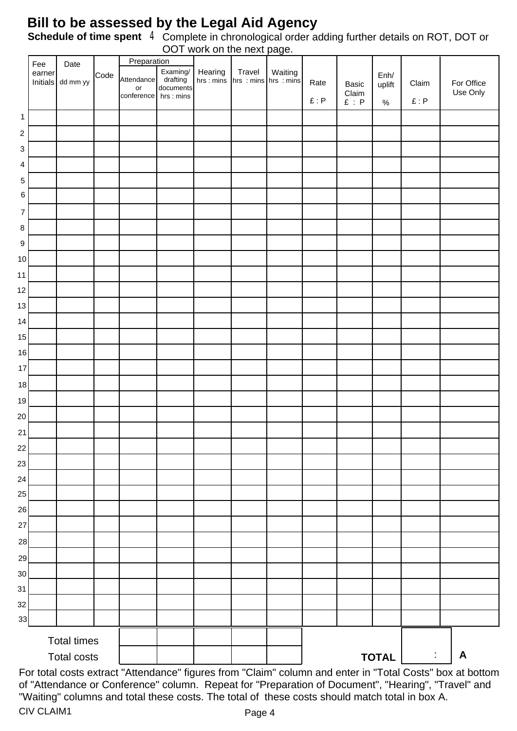#### **Bill to be assessed by the Legal Aid Agency**

Schedule of time spent 4 Complete in chronological order adding further details on ROT, DOT or OOT work on the next page.

|                  |               |                    |      |                  |                       | <b>OUT WORK OFFITE HEAT Page.</b> |        |         |      |                                   |                |                                       |            |
|------------------|---------------|--------------------|------|------------------|-----------------------|-----------------------------------|--------|---------|------|-----------------------------------|----------------|---------------------------------------|------------|
|                  | Fee<br>earner | Date               |      | Preparation      | Examing/              | Hearing                           | Travel | Waiting |      |                                   |                |                                       |            |
|                  | Initials      | dd mm yy           | Code | Attendance<br>or | drafting<br>documents | hrs : mins hrs : mins hrs : mins  |        |         | Rate | Basic                             | Enh/<br>uplift | Claim                                 | For Office |
|                  |               |                    |      | conference       | hrs : mins            |                                   |        |         | E: P | Claim<br>$\pounds$ : $\mathsf{P}$ | $\%$           | $\pmb \mathsf E$ : $\pmb {\mathsf P}$ | Use Only   |
| $\mathbf{1}$     |               |                    |      |                  |                       |                                   |        |         |      |                                   |                |                                       |            |
| $\sqrt{2}$       |               |                    |      |                  |                       |                                   |        |         |      |                                   |                |                                       |            |
| 3                |               |                    |      |                  |                       |                                   |        |         |      |                                   |                |                                       |            |
| 4                |               |                    |      |                  |                       |                                   |        |         |      |                                   |                |                                       |            |
| $\mathbf 5$      |               |                    |      |                  |                       |                                   |        |         |      |                                   |                |                                       |            |
| $\,6\,$          |               |                    |      |                  |                       |                                   |        |         |      |                                   |                |                                       |            |
| $\overline{7}$   |               |                    |      |                  |                       |                                   |        |         |      |                                   |                |                                       |            |
| $\bf 8$          |               |                    |      |                  |                       |                                   |        |         |      |                                   |                |                                       |            |
| $\boldsymbol{9}$ |               |                    |      |                  |                       |                                   |        |         |      |                                   |                |                                       |            |
| $10$             |               |                    |      |                  |                       |                                   |        |         |      |                                   |                |                                       |            |
| 11               |               |                    |      |                  |                       |                                   |        |         |      |                                   |                |                                       |            |
| 12               |               |                    |      |                  |                       |                                   |        |         |      |                                   |                |                                       |            |
| 13               |               |                    |      |                  |                       |                                   |        |         |      |                                   |                |                                       |            |
| 14               |               |                    |      |                  |                       |                                   |        |         |      |                                   |                |                                       |            |
| 15               |               |                    |      |                  |                       |                                   |        |         |      |                                   |                |                                       |            |
| 16               |               |                    |      |                  |                       |                                   |        |         |      |                                   |                |                                       |            |
| 17               |               |                    |      |                  |                       |                                   |        |         |      |                                   |                |                                       |            |
| $18\,$           |               |                    |      |                  |                       |                                   |        |         |      |                                   |                |                                       |            |
| 19               |               |                    |      |                  |                       |                                   |        |         |      |                                   |                |                                       |            |
| 20               |               |                    |      |                  |                       |                                   |        |         |      |                                   |                |                                       |            |
| 21               |               |                    |      |                  |                       |                                   |        |         |      |                                   |                |                                       |            |
| 22               |               |                    |      |                  |                       |                                   |        |         |      |                                   |                |                                       |            |
| 23               |               |                    |      |                  |                       |                                   |        |         |      |                                   |                |                                       |            |
| 24               |               |                    |      |                  |                       |                                   |        |         |      |                                   |                |                                       |            |
| 25               |               |                    |      |                  |                       |                                   |        |         |      |                                   |                |                                       |            |
| 26               |               |                    |      |                  |                       |                                   |        |         |      |                                   |                |                                       |            |
| 27               |               |                    |      |                  |                       |                                   |        |         |      |                                   |                |                                       |            |
| 28               |               |                    |      |                  |                       |                                   |        |         |      |                                   |                |                                       |            |
| 29               |               |                    |      |                  |                       |                                   |        |         |      |                                   |                |                                       |            |
| 30               |               |                    |      |                  |                       |                                   |        |         |      |                                   |                |                                       |            |
| 31               |               |                    |      |                  |                       |                                   |        |         |      |                                   |                |                                       |            |
| 32               |               |                    |      |                  |                       |                                   |        |         |      |                                   |                |                                       |            |
| 33               |               |                    |      |                  |                       |                                   |        |         |      |                                   |                |                                       |            |
|                  |               | <b>Total times</b> |      |                  |                       |                                   |        |         |      |                                   |                |                                       |            |
|                  |               | <b>Total costs</b> |      |                  |                       |                                   |        |         |      |                                   | <b>TOTAL</b>   | $\ddot{\phantom{a}}$                  | A          |
|                  |               |                    |      |                  |                       |                                   |        |         |      |                                   |                |                                       |            |

For total costs extract "Attendance" figures from "Claim" column and enter in "Total Costs" box at bottom of "Attendance or Conference" column. Repeat for "Preparation of Document", "Hearing", "Travel" and "Waiting" columns and total these costs. The total of these costs should match total in box A. CIV CLAIM1 Page 4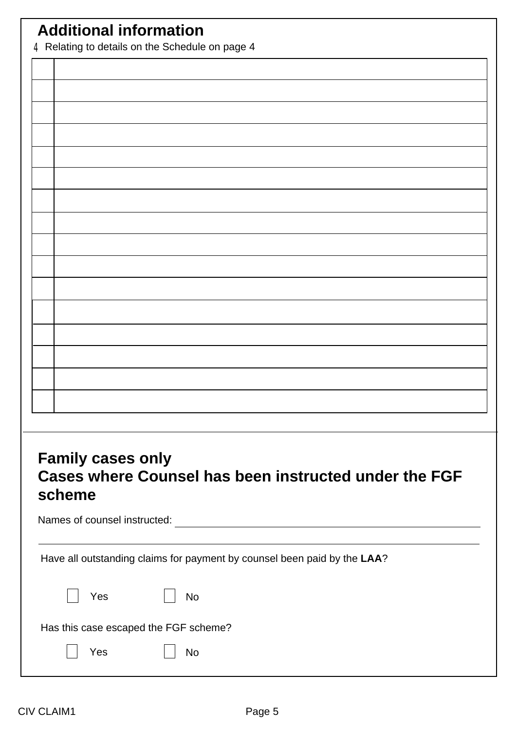## **Additional information**

4Relating to details on the Schedule on page 4

#### **Family cases only Cases where Counsel has been instructed under the FGF scheme**

Names of counsel instructed:

Have all outstanding claims for payment by counsel been paid by the **LAA**?

| $\vert \vert$ Yes |                                       | $\vert$ No |  |
|-------------------|---------------------------------------|------------|--|
|                   | Has this case escaped the FGF scheme? |            |  |

| Yes | No |
|-----|----|
|-----|----|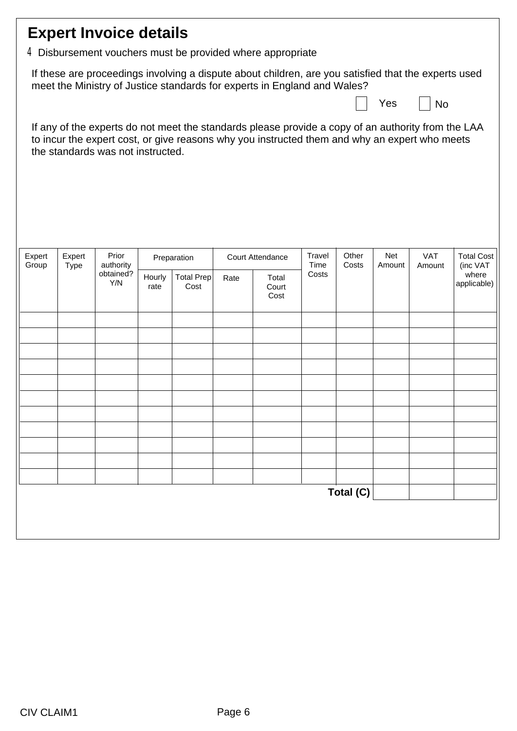| <b>Expert Invoice details</b>                                                                                                                                                                                                            |                                                                                                                                                                                  |                    |                |                           |                  |                        |                |                |               |                      |                               |
|------------------------------------------------------------------------------------------------------------------------------------------------------------------------------------------------------------------------------------------|----------------------------------------------------------------------------------------------------------------------------------------------------------------------------------|--------------------|----------------|---------------------------|------------------|------------------------|----------------|----------------|---------------|----------------------|-------------------------------|
| 4 Disbursement vouchers must be provided where appropriate                                                                                                                                                                               |                                                                                                                                                                                  |                    |                |                           |                  |                        |                |                |               |                      |                               |
|                                                                                                                                                                                                                                          | If these are proceedings involving a dispute about children, are you satisfied that the experts used<br>meet the Ministry of Justice standards for experts in England and Wales? |                    |                |                           |                  |                        |                |                |               |                      |                               |
|                                                                                                                                                                                                                                          |                                                                                                                                                                                  |                    |                |                           |                  |                        |                |                | Yes           | No                   |                               |
| If any of the experts do not meet the standards please provide a copy of an authority from the LAA<br>to incur the expert cost, or give reasons why you instructed them and why an expert who meets<br>the standards was not instructed. |                                                                                                                                                                                  |                    |                |                           |                  |                        |                |                |               |                      |                               |
|                                                                                                                                                                                                                                          |                                                                                                                                                                                  |                    |                |                           |                  |                        |                |                |               |                      |                               |
| Expert<br>Group                                                                                                                                                                                                                          | Expert<br><b>Type</b>                                                                                                                                                            | Prior<br>authority | Preparation    |                           | Court Attendance |                        | Travel<br>Time | Other<br>Costs | Net<br>Amount | <b>VAT</b><br>Amount | <b>Total Cost</b><br>(inc VAT |
|                                                                                                                                                                                                                                          |                                                                                                                                                                                  | obtained?<br>Y/N   | Hourly<br>rate | <b>Total Prep</b><br>Cost | Rate             | Total<br>Court<br>Cost | Costs          |                |               |                      | where<br>applicable)          |
|                                                                                                                                                                                                                                          |                                                                                                                                                                                  |                    |                |                           |                  |                        |                |                |               |                      |                               |
|                                                                                                                                                                                                                                          |                                                                                                                                                                                  |                    |                |                           |                  |                        |                |                |               |                      |                               |
|                                                                                                                                                                                                                                          |                                                                                                                                                                                  |                    |                |                           |                  |                        |                |                |               |                      |                               |
|                                                                                                                                                                                                                                          |                                                                                                                                                                                  |                    |                |                           |                  |                        |                |                |               |                      |                               |
|                                                                                                                                                                                                                                          |                                                                                                                                                                                  |                    |                |                           |                  |                        |                |                |               |                      |                               |
|                                                                                                                                                                                                                                          |                                                                                                                                                                                  |                    |                |                           |                  |                        |                |                |               |                      |                               |
|                                                                                                                                                                                                                                          |                                                                                                                                                                                  |                    |                |                           |                  |                        |                |                |               |                      |                               |
|                                                                                                                                                                                                                                          |                                                                                                                                                                                  |                    |                |                           |                  |                        |                |                |               |                      |                               |
|                                                                                                                                                                                                                                          |                                                                                                                                                                                  |                    |                |                           |                  |                        |                | Total (C)      |               |                      |                               |
|                                                                                                                                                                                                                                          |                                                                                                                                                                                  |                    |                |                           |                  |                        |                |                |               |                      |                               |
|                                                                                                                                                                                                                                          |                                                                                                                                                                                  |                    |                |                           |                  |                        |                |                |               |                      |                               |
|                                                                                                                                                                                                                                          |                                                                                                                                                                                  |                    |                |                           |                  |                        |                |                |               |                      |                               |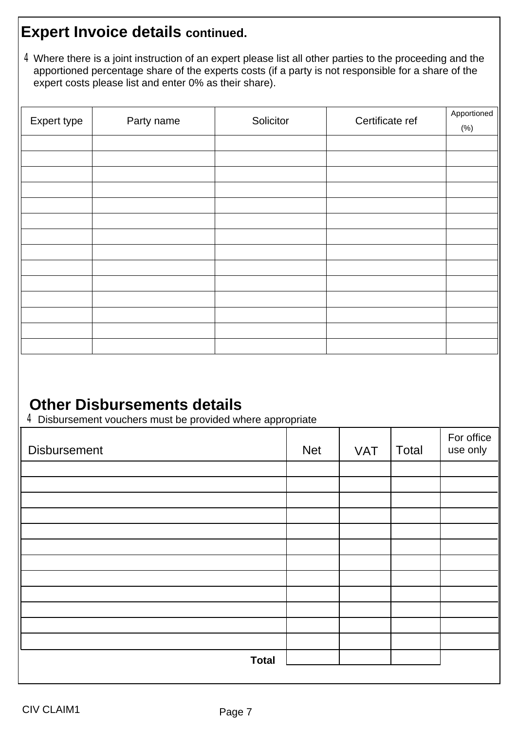#### **Expert Invoice details continued.**

Where there is a joint instruction of an expert please list all other parties to the proceeding and the 4 apportioned percentage share of the experts costs (if a party is not responsible for a share of the expert costs please list and enter 0% as their share).

| Expert type | Party name | Solicitor | Certificate ref | Apportioned |
|-------------|------------|-----------|-----------------|-------------|
|             |            |           |                 | (%)         |
|             |            |           |                 |             |
|             |            |           |                 |             |
|             |            |           |                 |             |
|             |            |           |                 |             |
|             |            |           |                 |             |
|             |            |           |                 |             |
|             |            |           |                 |             |
|             |            |           |                 |             |
|             |            |           |                 |             |
|             |            |           |                 |             |
|             |            |           |                 |             |
|             |            |           |                 |             |
|             |            |           |                 |             |
|             |            |           |                 |             |

### **Other Disbursements details**

4Disbursement vouchers must be provided where appropriate

| <b>Disbursement</b> | <b>Net</b> | <b>VAT</b> | Total | For office<br>use only |
|---------------------|------------|------------|-------|------------------------|
|                     |            |            |       |                        |
|                     |            |            |       |                        |
|                     |            |            |       |                        |
|                     |            |            |       |                        |
|                     |            |            |       |                        |
|                     |            |            |       |                        |
|                     |            |            |       |                        |
|                     |            |            |       |                        |
|                     |            |            |       |                        |
|                     |            |            |       |                        |
|                     |            |            |       |                        |
|                     |            |            |       |                        |
| <b>Total</b>        |            |            |       |                        |
|                     |            |            |       |                        |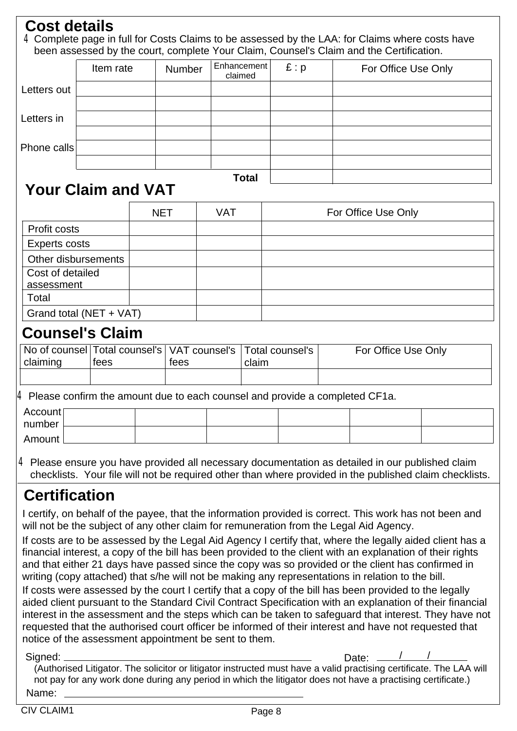#### **Cost details**

4 Complete page in full for Costs Claims to be assessed by the LAA: for Claims where costs have been assessed by the court, complete Your Claim, Counsel's Claim and the Certification.

|             | Item rate | Number | Enhancement<br>claimed | E: p | For Office Use Only |
|-------------|-----------|--------|------------------------|------|---------------------|
| Letters out |           |        |                        |      |                     |
| Letters in  |           |        |                        |      |                     |
|             |           |        |                        |      |                     |
| Phone calls |           |        |                        |      |                     |
|             |           |        |                        |      |                     |
|             |           |        | Total                  |      |                     |

## **Your Claim and VAT**

|                         | <b>NET</b> | <b>VAT</b> | For Office Use Only |
|-------------------------|------------|------------|---------------------|
| Profit costs            |            |            |                     |
| <b>Experts costs</b>    |            |            |                     |
| Other disbursements     |            |            |                     |
| Cost of detailed        |            |            |                     |
| assessment              |            |            |                     |
| Total                   |            |            |                     |
| Grand total (NET + VAT) |            |            |                     |

#### **Counsel's Claim**

|          |      |      | $_1$ No of counsel $\mid$ Total counsel's $\mid$ VAT counsel's $\mid$ Total counsel's $\mid$ | For Office Use Only |
|----------|------|------|----------------------------------------------------------------------------------------------|---------------------|
| claiming | tees | tees | claim                                                                                        |                     |
|          |      |      |                                                                                              |                     |

4 Please confirm the amount due to each counsel and provide a completed CF1a.

| Account |  |  |  |
|---------|--|--|--|
| number  |  |  |  |
| Amount  |  |  |  |

4 Please ensure you have provided all necessary documentation as detailed in our published claim checklists. Your file will not be required other than where provided in the published claim checklists.

# **Certification**

I certify, on behalf of the payee, that the information provided is correct. This work has not been and will not be the subject of any other claim for remuneration from the Legal Aid Agency.

If costs are to be assessed by the Legal Aid Agency I certify that, where the legally aided client has a financial interest, a copy of the bill has been provided to the client with an explanation of their rights and that either 21 days have passed since the copy was so provided or the client has confirmed in writing (copy attached) that s/he will not be making any representations in relation to the bill.

If costs were assessed by the court I certify that a copy of the bill has been provided to the legally aided client pursuant to the Standard Civil Contract Specification with an explanation of their financial interest in the assessment and the steps which can be taken to safeguard that interest. They have not requested that the authorised court officer be informed of their interest and have not requested that notice of the assessment appointment be sent to them.

Date:  $\frac{1}{2}$ 

Signed: Date: Name: (Authorised Litigator. The solicitor or litigator instructed must have a valid practising certificate. The LAA will not pay for any work done during any period in which the litigator does not have a practising certificate.)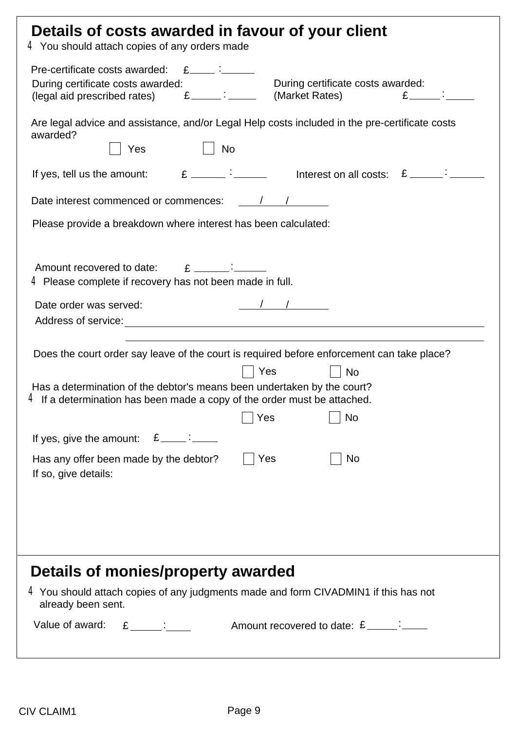| Details of costs awarded in favour of your client<br>4 You should attach copies of any orders made                                                                                                                                                                                                                                                                                                                                |  |  |  |
|-----------------------------------------------------------------------------------------------------------------------------------------------------------------------------------------------------------------------------------------------------------------------------------------------------------------------------------------------------------------------------------------------------------------------------------|--|--|--|
| Pre-certificate costs awarded:<br>$E$ $\vdots$ $\vdots$<br>During certificate costs awarded:<br>During certificate costs awarded:<br>$E$ :<br>(legal aid prescribed rates) $E$ $E$ $(market$ Rates)                                                                                                                                                                                                                               |  |  |  |
| Are legal advice and assistance, and/or Legal Help costs included in the pre-certificate costs<br>awarded?<br><b>No</b><br>Yes                                                                                                                                                                                                                                                                                                    |  |  |  |
| If yes, tell us the amount: $E \sim 1$ if yes, tell us the amount: $E \sim 1$                                                                                                                                                                                                                                                                                                                                                     |  |  |  |
|                                                                                                                                                                                                                                                                                                                                                                                                                                   |  |  |  |
| Please provide a breakdown where interest has been calculated:                                                                                                                                                                                                                                                                                                                                                                    |  |  |  |
| Amount recovered to date: $E = 2$<br>$4$ Please complete if recovery has not been made in full.                                                                                                                                                                                                                                                                                                                                   |  |  |  |
| Date order was served:                                                                                                                                                                                                                                                                                                                                                                                                            |  |  |  |
| Does the court order say leave of the court is required before enforcement can take place?                                                                                                                                                                                                                                                                                                                                        |  |  |  |
| Yes<br><b>No</b><br>Has a determination of the debtor's means been undertaken by the court?<br>$\,4$ If a determination has been made a copy of the order must be attached.                                                                                                                                                                                                                                                       |  |  |  |
| Yes<br>No                                                                                                                                                                                                                                                                                                                                                                                                                         |  |  |  |
| $E$ $\frac{1}{2}$ $\frac{1}{2}$ $\frac{1}{2}$ $\frac{1}{2}$ $\frac{1}{2}$ $\frac{1}{2}$ $\frac{1}{2}$ $\frac{1}{2}$ $\frac{1}{2}$ $\frac{1}{2}$ $\frac{1}{2}$ $\frac{1}{2}$ $\frac{1}{2}$ $\frac{1}{2}$ $\frac{1}{2}$ $\frac{1}{2}$ $\frac{1}{2}$ $\frac{1}{2}$ $\frac{1}{2}$ $\frac{1}{2}$ $\frac{1}{2}$ $\frac{1}{2$<br>If yes, give the amount:<br>No<br>Yes<br>Has any offer been made by the debtor?<br>If so, give details: |  |  |  |
| Details of monies/property awarded<br>$4$ You should attach copies of any judgments made and form CIVADMIN1 if this has not<br>already been sent.                                                                                                                                                                                                                                                                                 |  |  |  |
| $E$ :<br>Value of award:                                                                                                                                                                                                                                                                                                                                                                                                          |  |  |  |